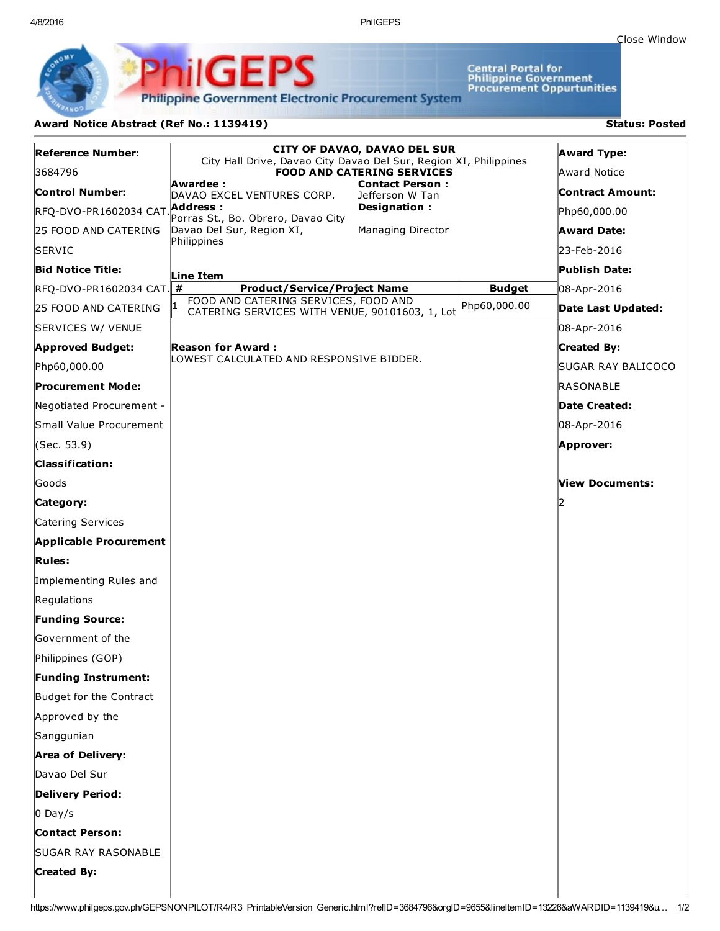4/8/2016 PhilGEPS

Central Portal for<br>Philippine Government<br>Procurement Oppurtunities

**Philippine Government Electronic Procurement System** 

PS

## Award Notice Abstract (Ref No.: 1139419) Status: Posted

PhilGEI

| <b>Reference Number:</b>              | <b>CITY OF DAVAO, DAVAO DEL SUR</b><br>City Hall Drive, Davao City Davao Del Sur, Region XI, Philippines |               | <b>Award Type:</b>      |
|---------------------------------------|----------------------------------------------------------------------------------------------------------|---------------|-------------------------|
| 3684796                               | <b>FOOD AND CATERING SERVICES</b>                                                                        |               | Award Notice            |
| <b>Control Number:</b>                | Awardee :<br><b>Contact Person:</b><br>DAVAO EXCEL VENTURES CORP.<br>Jefferson W Tan                     |               | <b>Contract Amount:</b> |
| RFQ-DVO-PR1602034 CAT.                | Designation:<br>Address :<br>Porras St., Bo. Obrero, Davao City                                          |               | Php60,000.00            |
| 25 FOOD AND CATERING                  | Davao Del Sur, Region XI,<br>Managing Director                                                           |               | <b>Award Date:</b>      |
| <b>SERVIC</b>                         | Philippines                                                                                              |               | 23-Feb-2016             |
| <b>Bid Notice Title:</b>              | Line Item                                                                                                |               | Publish Date:           |
| $R$ FQ-DVO-PR1602034 CAT. $\boxed{H}$ | <b>Product/Service/Project Name</b>                                                                      | <b>Budget</b> | 08-Apr-2016             |
| 25 FOOD AND CATERING                  | FOOD AND CATERING SERVICES, FOOD AND<br>CATERING SERVICES WITH VENUE, 90101603, 1, Lot                   | Php60,000.00  | Date Last Updated:      |
| SERVICES W/ VENUE                     |                                                                                                          |               | 08-Apr-2016             |
| <b>Approved Budget:</b>               | <b>Reason for Award:</b>                                                                                 |               | <b>Created By:</b>      |
| Php60,000.00                          | LOWEST CALCULATED AND RESPONSIVE BIDDER.                                                                 |               | SUGAR RAY BALICOCO      |
| <b>Procurement Mode:</b>              |                                                                                                          |               | RASONABLE               |
| Negotiated Procurement -              |                                                                                                          |               | Date Created:           |
| Small Value Procurement               |                                                                                                          |               | 08-Apr-2016             |
| (Sec. 53.9)                           |                                                                                                          |               | Approver:               |
| <b>Classification:</b>                |                                                                                                          |               |                         |
| lGoods                                |                                                                                                          |               | View Documents:         |
| Category:                             |                                                                                                          |               |                         |
| Catering Services                     |                                                                                                          |               |                         |
| <b>Applicable Procurement</b>         |                                                                                                          |               |                         |
| <b>Rules:</b>                         |                                                                                                          |               |                         |
| Implementing Rules and                |                                                                                                          |               |                         |
| Regulations                           |                                                                                                          |               |                         |
| <b>Funding Source:</b>                |                                                                                                          |               |                         |
| Government of the                     |                                                                                                          |               |                         |
| Philippines (GOP)                     |                                                                                                          |               |                         |
| <b>Funding Instrument:</b>            |                                                                                                          |               |                         |
| Budget for the Contract               |                                                                                                          |               |                         |
| Approved by the                       |                                                                                                          |               |                         |
| Sanggunian                            |                                                                                                          |               |                         |
| <b>Area of Delivery:</b>              |                                                                                                          |               |                         |
| Davao Del Sur                         |                                                                                                          |               |                         |
| <b>Delivery Period:</b>               |                                                                                                          |               |                         |
| $0$ Day/s                             |                                                                                                          |               |                         |
| <b>Contact Person:</b>                |                                                                                                          |               |                         |
| <b>SUGAR RAY RASONABLE</b>            |                                                                                                          |               |                         |
| <b>Created By:</b>                    |                                                                                                          |               |                         |
|                                       |                                                                                                          |               |                         |